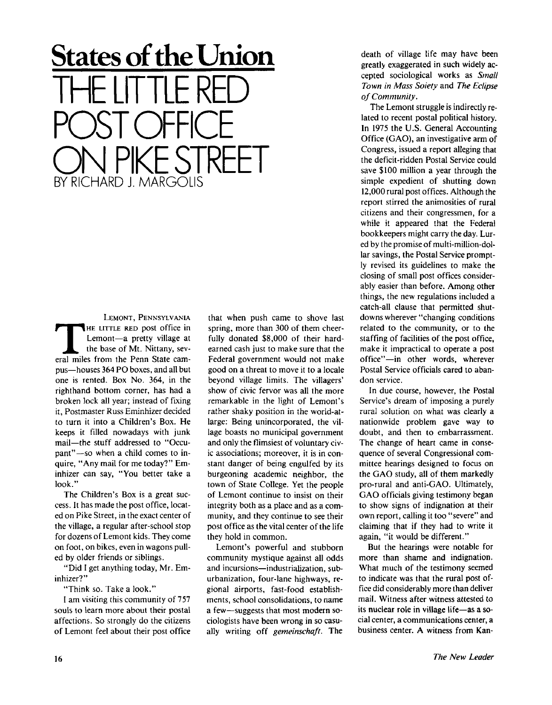## **States of the Union**  THE LITTLE RED POST OFFICE ON PIKE STREET BY RICHARD J. MARGOLIS

LEMONT, PENNSYLVANIA LEMONT, PENNSYLVANIA<br>
HE LITTLE RED post office in<br>
Lemont—a pretty village at<br>
the base of Mt. Nittany, sev-<br>
eral miles from the Penn State cam-HE LITTLE RED post office in Lemont—a pretty village at the base of Mt. Nittany, sevpus—houses 364 PO boxes, and all but one is rented. Box No. 364, in the righthand bottom corner, has had a broken lock all year; instead of fixing it, Postmaster Russ Eminhizer decided to turn it into a Children's Box. He keeps it filled nowadays with junk mail—the stuff addressed to "Occupant"—so when a child comes to inquire, "Any mail for me today?" Eminhizer can say, "You better take a look. "

The Children's Box is a great success. It has made the post office, located on Pike Street, in the exact center of the village, a regular after-school stop for dozens of Lemont kids. They come on foot, on bikes, even in wagons pulled by older friends or siblings.

"Did I get anything today, Mr. Eminhizer?"

"Think so. Take a look."

I am visiting this community of 757 souls to learn more about their postal affections. So strongly do the citizens of Lemont feel about their post office

that when push came to shove last spring, more than 300 of them cheerfully donated \$8,000 of their hardearned cash just to make sure that the Federal government would not make good on a threat to move it to a locale beyond village limits. The villagers' show of civic fervor was all the more remarkable in the light of Lemont's rather shaky position in the world-atlarge: Being unincorporated, the village boasts no municipal government and only the flimsiest of voluntary civic associations; moreover, it is in constant danger of being engulfed by its burgeoning academic neighbor, the town of State College. Yet the people of Lemont continue to insist on their integrity both as a place and as a community, and they continue to see their post office as the vital center of the life they hold in common.

Lemont's powerful and stubborn community mystique against all odds and incursions—industrialization, suburbanization, four-lane highways, regional airports, fast-food establishments, school consolidations, to name a few—suggests that most modern sociologists have been wrong in so casually writing off *gemeinschaft.* The death of village life may have been greatly exaggerated in such widely accepted sociological works as *Small Town in Mass Soiety* and *The Eclipse of Community.* 

The Lemont struggle is indirectly related to recent postal political history. In 1975 the U.S. General Accounting Office (GAO), an investigative arm of Congress, issued a report alleging that the deficit-ridden Postal Service could save \$100 million a year through the simple expedient of shutting down 12,000 rural post offices. Although the report stirred the animosities of rural citizens and their congressmen, for a while it appeared that the Federal bookkeepers might carry the day. Lured by the promise of multi-million-dollar savings, the Postal Service promptly revised its guidelines to make the closing of small post offices considerably easier than before. Among other things, the new regulations included a catch-all clause that permitted shutdowns wherever "changing conditions about where the community conditions  $\frac{1}{2}$  state of the community, of to the starting or racinties or the post office,  $\sum_{i=1}^{n} w_i$  = in practical to operate a post  $P_{\text{net}} = \text{m}$  official words, wherever rustal service

In due course, however, the Postal Service's dream of imposing a purely rural solution on what was clearly a nationwide problem gave way to doubt, and then to embarrassment. The change of heart came in consequence of several Congressional committee hearings designed to focus on the GAO study, all of them markedly pro-rural and anti-GAO. Ultimately, GAO officials giving testimony began to show signs of indignation at their own report, calling it too "severe" and claiming that if they had to write it again, "it would be different."

But the hearings were notable for more than shame and indignation. What much of the testimony seemed to indicate was that the rural post office did considerably more than deliver mail. Witness after witness attested to its nuclear role in village life—as a social center, a communications center, a business center. A witness from Kan